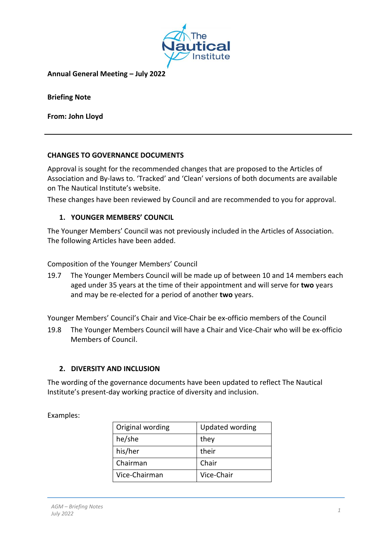

**Annual General Meeting – July 2022**

**Briefing Note**

**From: John Lloyd**

#### **CHANGES TO GOVERNANCE DOCUMENTS**

Approval is sought for the recommended changes that are proposed to the Articles of Association and By-laws to. 'Tracked' and 'Clean' versions of both documents are available on The Nautical Institute's website.

These changes have been reviewed by Council and are recommended to you for approval.

### **1. YOUNGER MEMBERS' COUNCIL**

The Younger Members' Council was not previously included in the Articles of Association. The following Articles have been added.

Composition of the Younger Members' Council

19.7 The Younger Members Council will be made up of between 10 and 14 members each aged under 35 years at the time of their appointment and will serve for **two** years and may be re-elected for a period of another **two** years.

Younger Members' Council's Chair and Vice-Chair be ex-officio members of the Council

19.8 The Younger Members Council will have a Chair and Vice-Chair who will be ex-officio Members of Council.

#### **2. DIVERSITY AND INCLUSION**

The wording of the governance documents have been updated to reflect The Nautical Institute's present-day working practice of diversity and inclusion.

Examples:

| Original wording | <b>Updated wording</b> |
|------------------|------------------------|
| he/she           | they                   |
| his/her          | their                  |
| Chairman         | Chair                  |
| Vice-Chairman    | Vice-Chair             |